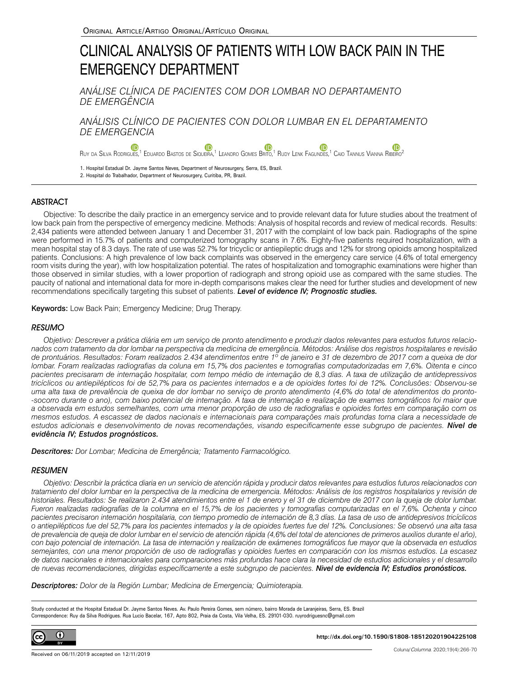# CLINICAL ANALYSIS OF PATIENTS WITH LOW BACK PAIN IN THE EMERGENCY DEPARTMENT

*ANÁLISE CLÍNICA DE PACIENTES COM DOR LOMBAR NO DEPARTAMENTO DE EMERGÊNCIA*

*ANÁLISIS CLÍNICO DE PACIENTES CON DOLOR LUMBAR EN EL DEPARTAMENTO DE EMERGENCIA*

Œ Ruy da Silva Rodrigues[,](https://orcid.org/0000-0002-2930-0918)<sup>1</sup> Eduardo Bastos de Siqueira,<sup>1</sup> Leandro Gomes Brito,<sup>1</sup> Rudy Lenk Fagundes,<sup>1</sup> Caio Tannus Vianna Ribeiro<sup>2</sup>

1. Hospital Estadual Dr. Jayme Santos Neves, Department of Neurosurgery, Serra, ES, Brazil. 2. Hospital do Trabalhador, Department of Neurosurgery, Curitiba, PR, Brazil.

## ABSTRACT

Objective: To describe the daily practice in an emergency service and to provide relevant data for future studies about the treatment of low back pain from the perspective of emergency medicine. Methods: Analysis of hospital records and review of medical records. Results: 2,434 patients were attended between January 1 and December 31, 2017 with the complaint of low back pain. Radiographs of the spine were performed in 15.7% of patients and computerized tomography scans in 7.6%. Eighty-five patients required hospitalization, with a mean hospital stay of 8.3 days. The rate of use was 52.7% for tricyclic or antiepileptic drugs and 12% for strong opioids among hospitalized patients. Conclusions: A high prevalence of low back complaints was observed in the emergency care service (4.6% of total emergency room visits during the year), with low hospitalization potential. The rates of hospitalization and tomographic examinations were higher than those observed in similar studies, with a lower proportion of radiograph and strong opioid use as compared with the same studies. The paucity of national and international data for more in-depth comparisons makes clear the need for further studies and development of new recommendations specifically targeting this subset of patients. *Level of evidence IV; Prognostic studies.*

Keywords: Low Back Pain; Emergency Medicine; Drug Therapy.

## **RESUMO**

*Objetivo: Descrever a prática diária em um serviço de pronto atendimento e produzir dados relevantes para estudos futuros relacionados com tratamento da dor lombar na perspectiva da medicina de emergência. Métodos: Análise dos registros hospitalares e revisão de prontuários. Resultados: Foram realizados 2.434 atendimentos entre 1º de janeiro e 31 de dezembro de 2017 com a queixa de dor lombar. Foram realizadas radiografias da coluna em 15,7% dos pacientes e tomografias computadorizadas em 7,6%. Oitenta e cinco pacientes precisaram de internação hospitalar, com tempo médio de internação de 8,3 dias. A taxa de utilização de antidepressivos tricíclicos ou antiepilépticos foi de 52,7% para os pacientes internados e a de opioides fortes foi de 12%. Conclusões: Observou-se uma alta taxa de prevalência de queixa de dor lombar no serviço de pronto atendimento (4,6% do total de atendimentos do pronto- -socorro durante o ano), com baixo potencial de internação. A taxa de internação e realização de exames tomográficos foi maior que a observada em estudos semelhantes, com uma menor proporção de uso de radiografias e opioides fortes em comparação com os mesmos estudos. A escassez de dados nacionais e internacionais para comparações mais profundas torna clara a necessidade de estudos adicionais e desenvolvimento de novas recomendações, visando especificamente esse subgrupo de pacientes. Nível de evidência IV; Estudos prognósticos.*

*Descritores: Dor Lombar; Medicina de Emergência; Tratamento Farmacológico.*

## **RESUMEN**

*Objetivo: Describir la práctica diaria en un servicio de atención rápida y producir datos relevantes para estudios futuros relacionados con tratamiento del dolor lumbar en la perspectiva de la medicina de emergencia. Métodos: Análisis de los registros hospitalarios y revisión de historiales. Resultados: Se realizaron 2.434 atendimientos entre el 1 de enero y el 31 de diciembre de 2017 con la queja de dolor lumbar. Fueron realizadas radiografías de la columna en el 15,7% de los pacientes y tomografías computarizadas en el 7,6%. Ochenta y cinco pacientes precisaron internación hospitalaria, con tiempo promedio de internación de 8,3 días. La tasa de uso de antidepresivos tricíclicos o antiepilépticos fue del 52,7% para los pacientes internados y la de opioides fuertes fue del 12%. Conclusiones: Se observó una alta tasa de prevalencia de queja de dolor lumbar en el servicio de atención rápida (4,6% del total de atenciones de primeros auxilios durante el año), con bajo potencial de internación. La tasa de internación y realización de exámenes tomográficos fue mayor que la observada en estudios semejantes, con una menor proporción de uso de radiografías y opioides fuertes en comparación con los mismos estudios. La escasez de datos nacionales e internacionales para comparaciones más profundas hace clara la necesidad de estudios adicionales y el desarrollo de nuevas recomendaciones, dirigidas específicamente a este subgrupo de pacientes. Nivel de evidencia IV; Estudios pronósticos.*

*Descriptores: Dolor de la Región Lumbar; Medicina de Emergencia; Quimioterapia.*

Study conducted at the Hospital Estadual Dr. Jayme Santos Neves. Av. Paulo Pereira Gomes, sem número, bairro Morada de Laranjeiras, Serra, ES. Brazil Correspondence: Ruy da Silva Rodrigues. Rua Lucio Bacelar, 167, Apto 802, Praia da Costa, Vila Velha, ES. 29101-030. ruyrodriguesnc@gmail.com



**http://dx.doi.org/10.1590/S1808-185120201904225108**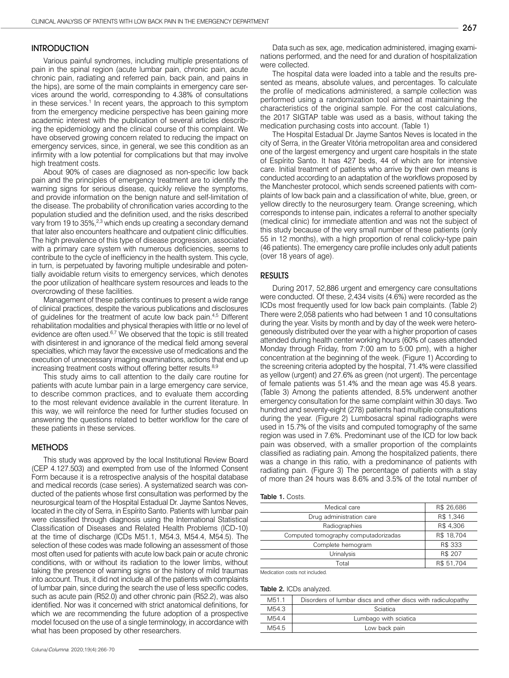## **INTRODUCTION**

Various painful syndromes, including multiple presentations of pain in the spinal region (acute lumbar pain, chronic pain, acute chronic pain, radiating and referred pain, back pain, and pains in the hips), are some of the main complaints in emergency care services around the world, corresponding to 4.38% of consultations in these services.<sup>1</sup> In recent years, the approach to this symptom from the emergency medicine perspective has been gaining more academic interest with the publication of several articles describing the epidemiology and the clinical course of this complaint. We have observed growing concern related to reducing the impact on emergency services, since, in general, we see this condition as an infirmity with a low potential for complications but that may involve high treatment costs.

About 90% of cases are diagnosed as non-specific low back pain and the principles of emergency treatment are to identify the warning signs for serious disease, quickly relieve the symptoms, and provide information on the benign nature and self-limitation of the disease. The probability of chronification varies according to the population studied and the definition used, and the risks described vary from 19 to 35%,<sup>2,3</sup> which ends up creating a secondary demand that later also encounters healthcare and outpatient clinic difficulties. The high prevalence of this type of disease progression, associated with a primary care system with numerous deficiencies, seems to contribute to the cycle of inefficiency in the health system. This cycle, in turn, is perpetuated by favoring multiple undesirable and potentially avoidable return visits to emergency services, which denotes the poor utilization of healthcare system resources and leads to the overcrowding of these facilities.

Management of these patients continues to present a wide range of clinical practices, despite the various publications and disclosures of guidelines for the treatment of acute low back pain.4,5 Different rehabilitation modalities and physical therapies with little or no level of evidence are often used.<sup>6,7</sup> We observed that the topic is still treated with disinterest in and ignorance of the medical field among several specialties, which may favor the excessive use of medications and the execution of unnecessary imaging examinations, actions that end up increasing treatment costs without offering better results.<sup>8,9</sup>

This study aims to call attention to the daily care routine for patients with acute lumbar pain in a large emergency care service, to describe common practices, and to evaluate them according to the most relevant evidence available in the current literature. In this way, we will reinforce the need for further studies focused on answering the questions related to better workflow for the care of these patients in these services.

### **METHODS**

This study was approved by the local Institutional Review Board (CEP 4.127.503) and exempted from use of the Informed Consent Form because it is a retrospective analysis of the hospital database and medical records (case series). A systematized search was conducted of the patients whose first consultation was performed by the neurosurgical team of the Hospital Estadual Dr. Jayme Santos Neves, located in the city of Serra, in Espírito Santo. Patients with lumbar pain were classified through diagnosis using the International Statistical Classification of Diseases and Related Health Problems (ICD-10) at the time of discharge (ICDs M51.1, M54.3, M54.4, M54.5). The selection of these codes was made following an assessment of those most often used for patients with acute low back pain or acute chronic conditions, with or without its radiation to the lower limbs, without taking the presence of warning signs or the history of mild traumas into account. Thus, it did not include all of the patients with complaints of lumbar pain, since during the search the use of less specific codes, such as acute pain (R52.0) and other chronic pain (R52.2), was also identified. Nor was it concerned with strict anatomical definitions, for which we are recommending the future adoption of a prospective model focused on the use of a single terminology, in accordance with what has been proposed by other researchers.

Data such as sex, age, medication administered, imaging examinations performed, and the need for and duration of hospitalization were collected.

The hospital data were loaded into a table and the results presented as means, absolute values, and percentages. To calculate the profile of medications administered, a sample collection was performed using a randomization tool aimed at maintaining the characteristics of the original sample. For the cost calculations, the 2017 SIGTAP table was used as a basis, without taking the medication purchasing costs into account. (Table 1)

The Hospital Estadual Dr. Jayme Santos Neves is located in the city of Serra, in the Greater Vitória metropolitan area and considered one of the largest emergency and urgent care hospitals in the state of Espírito Santo. It has 427 beds, 44 of which are for intensive care. Initial treatment of patients who arrive by their own means is conducted according to an adaptation of the workflows proposed by the Manchester protocol, which sends screened patients with complaints of low back pain and a classification of white, blue, green, or yellow directly to the neurosurgery team. Orange screening, which corresponds to intense pain, indicates a referral to another specialty (medical clinic) for immediate attention and was not the subject of this study because of the very small number of these patients (only 55 in 12 months), with a high proportion of renal colicky-type pain (46 patients). The emergency care profile includes only adult patients (over 18 years of age).

#### RESULTS

During 2017, 52,886 urgent and emergency care consultations were conducted. Of these, 2,434 visits (4.6%) were recorded as the ICDs most frequently used for low back pain complaints. (Table 2) There were 2,058 patients who had between 1 and 10 consultations during the year. Visits by month and by day of the week were heterogeneously distributed over the year with a higher proportion of cases attended during health center working hours (60% of cases attended Monday through Friday, from 7:00 am to 5:00 pm), with a higher concentration at the beginning of the week. (Figure 1) According to the screening criteria adopted by the hospital, 71.4% were classified as yellow (urgent) and 27.6% as green (not urgent). The percentage of female patients was 51.4% and the mean age was 45.8 years. (Table 3) Among the patients attended, 8.5% underwent another emergency consultation for the same complaint within 30 days. Two hundred and seventy-eight (278) patients had multiple consultations during the year. (Figure 2) Lumbosacral spinal radiographs were used in 15.7% of the visits and computed tomography of the same region was used in 7.6%. Predominant use of the ICD for low back pain was observed, with a smaller proportion of the complaints classified as radiating pain. Among the hospitalized patients, there was a change in this ratio, with a predominance of patients with radiating pain. (Figure 3) The percentage of patients with a stay of more than 24 hours was 8.6% and 3.5% of the total number of

| Table 1. Costs. |  |  |
|-----------------|--|--|
|-----------------|--|--|

| Medical care                         | R\$ 26,686 |
|--------------------------------------|------------|
| Drug administration care             | R\$ 1,346  |
| Radiographies                        | R\$ 4,306  |
| Computed tomography computadorizadas | R\$ 18,704 |
| Complete hemogram                    | R\$ 333    |
| Urinalysis                           | R\$ 207    |
| Total                                | R\$ 51,704 |
| .<br>.                               |            |

Medication costs not included.

#### Table 2. ICDs analyzed.

| M51.1 | Disorders of lumbar discs and other discs with radiculopathy |  |
|-------|--------------------------------------------------------------|--|
| M54.3 | Sciatica                                                     |  |
| M544  | Lumbago with sciatica                                        |  |
| M54.5 | Low back pain                                                |  |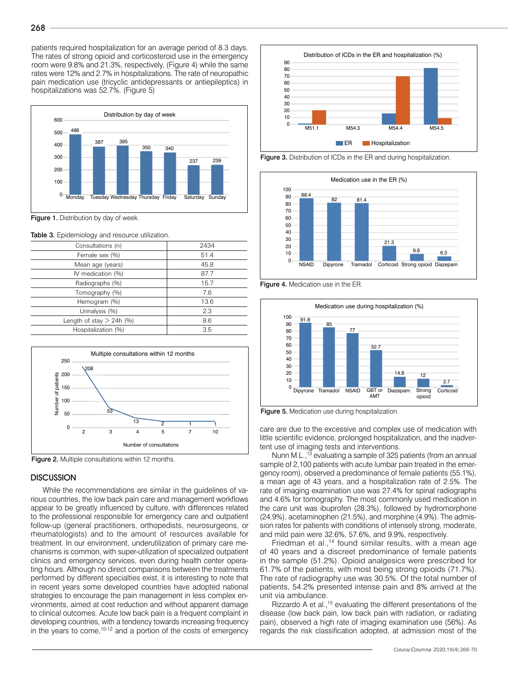patients required hospitalization for an average period of 8.3 days. The rates of strong opioid and corticosteroid use in the emergency room were 9.8% and 21.3%, respectively, (Figure 4) while the same rates were 12% and 2.7% in hospitalizations. The rate of neuropathic pain medication use (tricyclic antidepressants or antiepileptics) in hospitalizations was 52.7%. (Figure 5)



Figure 1. Distribution by day of week.

Table 3. Epidemiology and resource utilization.

| Consultations (n)          | 2434 |
|----------------------------|------|
| Female sex (%)             | 51.4 |
| Mean age (years)           | 45.8 |
| IV medication (%)          | 87.7 |
| Radiographs (%)            | 15.7 |
| Tomography (%)             | 7.6  |
| Hemogram (%)               | 13.6 |
| Urinalysis (%)             | 2.3  |
| Length of stay $> 24h$ (%) | 8.6  |
| Hospitalization (%)        | 3.5  |
|                            |      |



Figure 2. Multiple consultations within 12 months.

## **DISCUSSION**

While the recommendations are similar in the guidelines of various countries, the low back pain care and management workflows appear to be greatly influenced by culture, with differences related to the professional responsible for emergency care and outpatient follow-up (general practitioners, orthopedists, neurosurgeons, or rheumatologists) and to the amount of resources available for treatment. In our environment, underutilization of primary care mechanisms is common, with super-utilization of specialized outpatient clinics and emergency services, even during health center operating hours. Although no direct comparisons between the treatments performed by different specialties exist, it is interesting to note that in recent years some developed countries have adopted national strategies to encourage the pain management in less complex environments, aimed at cost reduction and without apparent damage to clinical outcomes. Acute low back pain is a frequent complaint in developing countries, with a tendency towards increasing frequency in the years to come,  $10-12$  and a portion of the costs of emergency



Figure 3. Distribution of ICDs in the ER and during hospitalization.



Figure 4. Medication use in the ER.



Figure 5. Medication use during hospitalization.

care are due to the excessive and complex use of medication with little scientific evidence, prolonged hospitalization, and the inadvertent use of imaging tests and interventions.

Nunn M.L.,<sup>13</sup> evaluating a sample of 325 patients (from an annual sample of 2,100 patients with acute lumbar pain treated in the emergency room), observed a predominance of female patients (55.1%), a mean age of 43 years, and a hospitalization rate of 2.5%. The rate of imaging examination use was 27.4% for spinal radiographs and 4.6% for tomography. The most commonly used medication in the care unit was ibuprofen (28.3%), followed by hydromorphone (24.9%), acetaminophen (21.5%), and morphine (4.9%). The admission rates for patients with conditions of intensely strong, moderate, and mild pain were 32.6%, 57.6%, and 9.9%, respectively.

Friedman et al.,<sup>14</sup> found similar results, with a mean age of 40 years and a discreet predominance of female patients in the sample (51.2%). Opioid analgesics were prescribed for 61.7% of the patients, with most being strong opioids (71.7%). The rate of radiography use was 30.5%. Of the total number of patients, 54.2% presented intense pain and 8% arrived at the unit via ambulance.

Rizzardo A et al.,<sup>15</sup> evaluating the different presentations of the disease (low back pain, low back pain with radiation, or radiating pain), observed a high rate of imaging examination use (56%). As regards the risk classification adopted, at admission most of the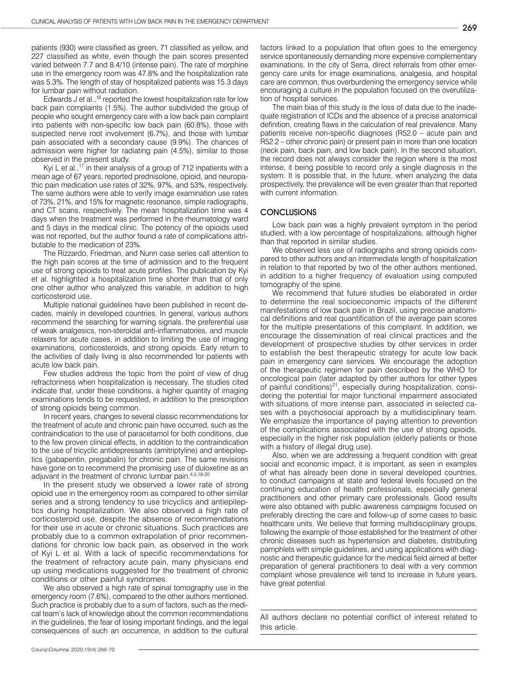patients (930) were classified as green, 71 classified as yellow, and 227 classified as white, even though the pain scores presented varied between 7.7 and 8.4/10 (intense pain). The rate of morphine use in the emergency room was 47.8% and the hospitalization rate was 5.3%. The length of stay of hospitalized patients was 15.3 days for lumbar pain without radiation.

Edwards J et al.,<sup>16</sup> reported the lowest hospitalization rate for low back pain complaints (1.5%). The author subdivided the group of people who sought emergency care with a low back pain complaint into patients with non-specific low back pain (60.8%), those with suspected nerve root involvement (6.7%), and those with lumbar pain associated with a secondary cause (9.9%). The chances of admission were higher for radiating pain (4.5%), similar to those observed in the present study.

Kyi L et al.,<sup>17</sup> in their analysis of a group of 712 inpatients with a mean age of 67 years, reported prednisolone, opioid, and neuropathic pain medication use rates of 32%, 97%, and 53%, respectively. The same authors were able to verify image examination use rates of 73%, 21%, and 15% for magnetic resonance, simple radiographs, and CT scans, respectively. The mean hospitalization time was 4 days when the treatment was performed in the rheumatology ward and 5 days in the medical clinic. The potency of the opioids used was not reported, but the author found a rate of complications attributable to the medication of 23%.

The Rizzardo, Friedman, and Nunn case series call attention to the high pain scores at the time of admission and to the frequent use of strong opioids to treat acute profiles. The publication by Kyi et al. highlighted a hospitalization time shorter than that of only one other author who analyzed this variable, in addition to high corticosteroid use.

Multiple national guidelines have been published in recent decades, mainly in developed countries. In general, various authors recommend the searching for warning signals, the preferential use of weak analgesics, non-steroidal anti-inflammatories, and muscle relaxers for acute cases, in addition to limiting the use of imaging examinations, corticosteroids, and strong opioids. Early return to the activities of daily living is also recommended for patients with acute low back pain.

Few studies address the topic from the point of view of drug refractoriness when hospitalization is necessary. The studies cited indicate that, under these conditions, a higher quantity of imaging examinations tends to be requested, in addition to the prescription of strong opioids being common.

In recent years, changes to several classic recommendations for the treatment of acute and chronic pain have occurred, such as the contraindication to the use of paracetamol for both conditions, due to the few proven clinical effects, in addition to the contraindication to the use of tricyclic antidepressants (amitriptyline) and antiepileptics (gabapentin, pregabalin) for chronic pain. The same revisions have gone on to recommend the promising use of duloxetine as an adjuvant in the treatment of chronic lumbar pain.4,5,18-20

In the present study we observed a lower rate of strong opioid use in the emergency room as compared to other similar series and a strong tendency to use tricyclics and antiepileptics during hospitalization. We also observed a high rate of corticosteroid use, despite the absence of recommendations for their use in acute or chronic situations. Such practices are probably due to a common extrapolation of prior recommendations for chronic low back pain, as observed in the work of Kyi L et al. With a lack of specific recommendations for the treatment of refractory acute pain, many physicians end up using medications suggested for the treatment of chronic conditions or other painful syndromes.

We also observed a high rate of spinal tomography use in the emergency room (7.6%), compared to the other authors mentioned. Such practice is probably due to a sum of factors, such as the medical team's lack of knowledge about the common recommendations in the guidelines, the fear of losing important findings, and the legal consequences of such an occurrence, in addition to the cultural factors linked to a population that often goes to the emergency service spontaneously demanding more expensive complementary examinations. In the city of Serra, direct referrals from other emergency care units for image examinations, analgesia, and hospital care are common, thus overburdening the emergency service while encouraging a culture in the population focused on the overutilization of hospital services.

The main bias of this study is the loss of data due to the inadequate registration of ICDs and the absence of a precise anatomical definition, creating flaws in the calculation of real prevalence. Many patients receive non-specific diagnoses (R52.0 – acute pain and R52.2 – other chronic pain) or present pain in more than one location (neck pain, back pain, and low back pain). In the second situation, the record does not always consider the region where is the most intense, it being possible to record only a single diagnosis in the system. It is possible that, in the future, when analyzing the data prospectively, the prevalence will be even greater than that reported with current information.

## **CONCLUSIONS**

Low back pain was a highly prevalent symptom in the period studied, with a low percentage of hospitalizations, although higher than that reported in similar studies.

We observed less use of radiographs and strong opioids compared to other authors and an intermediate length of hospitalization in relation to that reported by two of the other authors mentioned, in addition to a higher frequency of evaluation using computed tomography of the spine.

We recommend that future studies be elaborated in order to determine the real socioeconomic impacts of the different manifestations of low back pain in Brazil, using precise anatomical definitions and real quantification of the average pain scores for the multiple presentations of this complaint. In addition, we encourage the dissemination of real clinical practices and the development of prospective studies by other services in order to establish the best therapeutic strategy for acute low back pain in emergency care services. We encourage the adoption of the therapeutic regimen for pain described by the WHO for oncological pain (later adapted by other authors for other types of painful conditions)<sup>21</sup>, especially during hospitalization, considering the potential for major functional impairment associated with situations of more intense pain, associated in selected cases with a psychosocial approach by a multidisciplinary team. We emphasize the importance of paying attention to prevention of the complications associated with the use of strong opioids, especially in the higher risk population (elderly patients or those with a history of illegal drug use).

Also, when we are addressing a frequent condition with great social and economic impact, it is important, as seen in examples of what has already been done in several developed countries, to conduct campaigns at state and federal levels focused on the continuing education of health professionals, especially general practitioners and other primary care professionals. Good results were also obtained with public awareness campaigns focused on preferably directing the care and follow-up of some cases to basic healthcare units. We believe that forming multidisciplinary groups, following the example of those established for the treatment of other chronic diseases such as hypertension and diabetes, distributing pamphlets with simple guidelines, and using applications with diagnostic and therapeutic guidance for the medical field aimed at better preparation of general practitioners to deal with a very common complaint whose prevalence will tend to increase in future years, have great potential.

All authors declare no potential conflict of interest related to this article.